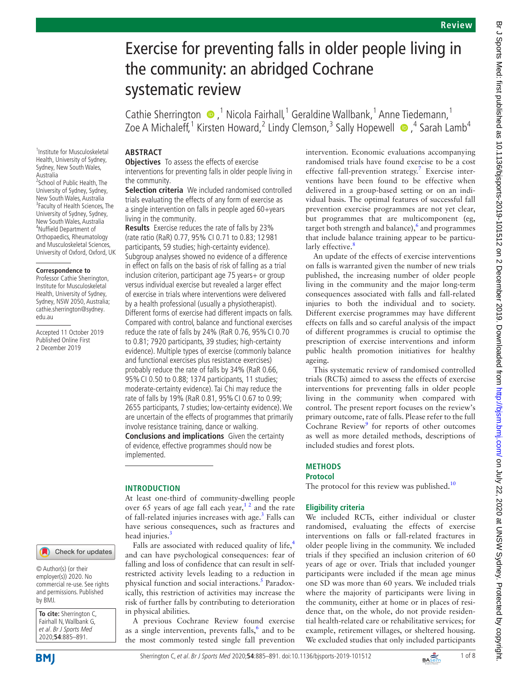# Exercise for preventing falls in older people living in the community: an abridged Cochrane systematic review

CathieSherrington  $\bullet$ , <sup>1</sup> Nicola Fairhall, <sup>1</sup> Geraldine Wallbank, <sup>1</sup> Anne Tiedemann, <sup>1</sup> ZoeA Michaleff,<sup>1</sup> Kirsten Howard,<sup>2</sup> Lindy Clemson,<sup>3</sup> Sally Hopewell  $\bullet$  ,<sup>4</sup> Sarah Lamb<sup>4</sup>

#### **Abstract**

1 Institute for Musculoskeletal Health, University of Sydney, Sydney, New South Wales,

<sup>2</sup>School of Public Health, The University of Sydney, Sydney, New South Wales, Australia <sup>3</sup> Faculty of Health Sciences, The University of Sydney, Sydney, New South Wales, Australia 4 Nuffield Department of Orthopaedics, Rheumatology and Musculoskeletal Sciences, University of Oxford, Oxford, UK

**Correspondence to** Professor Cathie Sherrington, Institute for Musculoskeletal Health, University of Sydney, Sydney, NSW 2050, Australia; cathie.sherrington@sydney.

Accepted 11 October 2019 Published Online First 2 December 2019

edu.au

Australia

**Objectives** To assess the effects of exercise interventions for preventing falls in older people living in the community.

**Selection criteria** We included randomised controlled trials evaluating the effects of any form of exercise as a single intervention on falls in people aged 60+years living in the community.

**Results** Exercise reduces the rate of falls by 23% (rate ratio (RaR) 0.77, 95% CI 0.71 to 0.83; 12 981 participants, 59 studies; high-certainty evidence). Subgroup analyses showed no evidence of a difference in effect on falls on the basis of risk of falling as a trial inclusion criterion, participant age 75 years+ or group versus individual exercise but revealed a larger effect of exercise in trials where interventions were delivered by a health professional (usually a physiotherapist). Different forms of exercise had different impacts on falls. Compared with control, balance and functional exercises reduce the rate of falls by 24% (RaR 0.76, 95%CI 0.70 to 0.81; 7920 participants, 39 studies; high-certainty evidence). Multiple types of exercise (commonly balance and functional exercises plus resistance exercises) probably reduce the rate of falls by 34% (RaR 0.66, 95%CI 0.50 to 0.88; 1374 participants, 11 studies; moderate-certainty evidence). Tai Chi may reduce the rate of falls by 19% (RaR 0.81, 95%CI 0.67 to 0.99; 2655 participants, 7 studies; low-certainty evidence). We are uncertain of the effects of programmes that primarily involve resistance training, dance or walking. **Conclusions and implications** Given the certainty of evidence, effective programmes should now be implemented.

#### **Introduction**

At least one-third of community-dwelling people over 65 years of age fall each year,<sup>12</sup> and the rate of fall-related injuries increases with age.<sup>[3](#page-7-1)</sup> Falls can have serious consequences, such as fractures and head injuries.<sup>3</sup>

Falls are associated with reduced quality of life, $\frac{4}{3}$  $\frac{4}{3}$  $\frac{4}{3}$ and can have psychological consequences: fear of falling and loss of confidence that can result in selfrestricted activity levels leading to a reduction in physical function and social interactions.<sup>[5](#page-7-3)</sup> Paradoxically, this restriction of activities may increase the risk of further falls by contributing to deterioration in physical abilities.

A previous Cochrane Review found exercise as a single intervention, prevents falls,<sup>[6](#page-7-4)</sup> and to be the most commonly tested single fall prevention

intervention. Economic evaluations accompanying randomised trials have found exercise to be a cost effective fall-prevention strategy.<sup>[7](#page-7-5)</sup> Exercise interventions have been found to be effective when delivered in a group-based setting or on an individual basis. The optimal features of successful fall prevention exercise programmes are not yet clear, but programmes that are multicomponent (eg, target both strength and balance),<sup>[6](#page-7-4)</sup> and programmes that include balance training appear to be particularly effective.<sup>8</sup>

An update of the effects of exercise interventions on falls is warranted given the number of new trials published, the increasing number of older people living in the community and the major long-term consequences associated with falls and fall-related injuries to both the individual and to society. Different exercise programmes may have different effects on falls and so careful analysis of the impact of different programmes is crucial to optimise the prescription of exercise interventions and inform public health promotion initiatives for healthy ageing.

This systematic review of randomised controlled trials (RCTs) aimed to assess the effects of exercise interventions for preventing falls in older people living in the community when compared with control. The present report focuses on the review's primary outcome, rate of falls. Please refer to the full Cochrane Review<sup>9</sup> for reports of other outcomes as well as more detailed methods, descriptions of included studies and forest plots.

# **Methods**

**Protocol**

The protocol for this review was published.<sup>[10](#page-7-8)</sup>

# **Eligibility criteria**

We included RCTs, either individual or cluster randomised, evaluating the effects of exercise interventions on falls or fall-related fractures in older people living in the community. We included trials if they specified an inclusion criterion of 60 years of age or over. Trials that included younger participants were included if the mean age minus one SD was more than 60 years. We included trials where the majority of participants were living in the community, either at home or in places of residence that, on the whole, do not provide residential health-related care or rehabilitative services; for example, retirement villages, or sheltered housing. We excluded studies that only included participants

Check for updates

© Author(s) (or their employer(s)) 2020. No commercial re-use. See rights and permissions. Published by BMJ.

**To cite:** Sherrington C, Fairhall N, Wallbank G, et al. Br J Sports Med 2020;**54**:885–891.

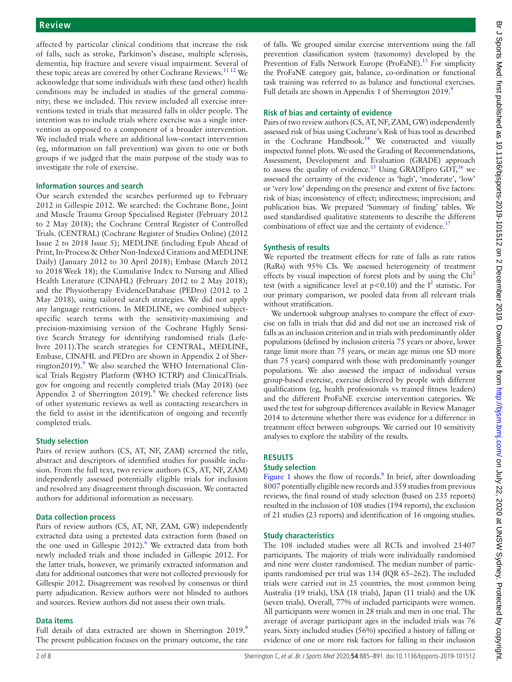## **Review**

affected by particular clinical conditions that increase the risk of falls, such as stroke, Parkinson's disease, multiple sclerosis, dementia, hip fracture and severe visual impairment. Several of these topic areas are covered by other Cochrane Reviews.<sup>[11 12](#page-7-9)</sup> We acknowledge that some individuals with these (and other) health conditions may be included in studies of the general community; these we included. This review included all exercise interventions tested in trials that measured falls in older people. The intention was to include trials where exercise was a single intervention as opposed to a component of a broader intervention. We included trials where an additional low-contact intervention (eg, information on fall prevention) was given to one or both groups if we judged that the main purpose of the study was to investigate the role of exercise.

#### **Information sources and search**

Our search extended the searches performed up to February 2012 in Gillespie 2012. We searched: the Cochrane Bone, Joint and Muscle Trauma Group Specialised Register (February 2012 to 2 May 2018); the Cochrane Central Register of Controlled Trials. (CENTRAL) (Cochrane Register of Studies Online) (2012 Issue 2 to 2018 Issue 5); MEDLINE (including Epub Ahead of Print, In-Process & Other Non-Indexed Citations and MEDLINE Daily) (January 2012 to 30 April 2018); Embase (March 2012 to 2018Week 18); the Cumulative Index to Nursing and Allied Health Literature (CINAHL) (February 2012 to 2 May 2018); and the Physiotherapy EvidenceDatabase (PEDro) (2012 to 2 May 2018), using tailored search strategies. We did not apply any language restrictions. In MEDLINE, we combined subjectspecific search terms with the sensitivity-maximising and precision-maximising version of the Cochrane Highly Sensitive Search Strategy for identifying randomised trials (Lefebvre 2011).The search strategies for CENTRAL, MEDLINE, Embase, CINAHL and PEDro are shown in Appendix 2 of Sher-rington201[9](#page-7-7)).<sup>9</sup> We also searched the WHO International Clinical Trials Registry Platform (WHO ICTRP) and ClinicalTrials. gov for ongoing and recently completed trials (May 2018) (see Appendix 2 of Sherrington 201[9](#page-7-7)).<sup>9</sup> We checked reference lists of other systematic reviews as well as contacting researchers in the field to assist in the identification of ongoing and recently completed trials.

#### **Study selection**

Pairs of review authors (CS, AT, NF, ZAM) screened the title, abstract and descriptors of identified studies for possible inclusion. From the full text, two review authors (CS, AT, NF, ZAM) independently assessed potentially eligible trials for inclusion and resolved any disagreement through discussion. We contacted authors for additional information as necessary.

#### **Data collection process**

Pairs of review authors (CS, AT, NF, ZAM, GW) independently extracted data using a pretested data extraction form (based on the one used in Gillespie 2012).<sup>6</sup> We extracted data from both newly included trials and those included in Gillespie 2012. For the latter trials, however, we primarily extracted information and data for additional outcomes that were not collected previously for Gillespie 2012. Disagreement was resolved by consensus or third party adjudication. Review authors were not blinded to authors and sources. Review authors did not assess their own trials.

#### **Data items**

Full details of data extracted are shown in Sherrington 2019.<sup>9</sup> The present publication focuses on the primary outcome, the rate of falls. We grouped similar exercise interventions using the fall prevention classification system (taxonomy) developed by the Prevention of Falls Network Europe (ProFaNE).<sup>13</sup> For simplicity the ProFaNE category gait, balance, co-ordination or functional task training was referred to as balance and functional exercises. Full details are shown in Appendix 1 of Sherrington 2019.<sup>9</sup>

#### **Risk of bias and certainty of evidence**

Pairs of two review authors (CS, AT, NF, ZAM, GW) independently assessed risk of bias using Cochrane's Risk of bias tool as described in the Cochrane Handbook.<sup>14</sup> We constructed and visually inspected funnel plots. We used the Grading of Recommendations, Assessment, Development and Evaluation (GRADE) approach to assess the quality of evidence.<sup>15</sup> Using GRADEpro GDT,<sup>[16](#page-7-13)</sup> we assessed the certainty of the evidence as 'high', 'moderate', 'low' or 'very low' depending on the presence and extent of five factors: risk of bias; inconsistency of effect; indirectness; imprecision; and publication bias. We prepared 'Summary of finding' tables. We used standardised qualitative statements to describe the different combinations of effect size and the certainty of evidence.<sup>1</sup>

#### **Synthesis of results**

We reported the treatment effects for rate of falls as rate ratios (RaRs) with 95% CIs. We assessed heterogeneity of treatment effects by visual inspection of forest plots and by using the Chi2 test (with a significance level at  $p < 0.10$ ) and the  $I^2$  statistic. For our primary comparison, we pooled data from all relevant trials without stratification.

We undertook subgroup analyses to compare the effect of exercise on falls in trials that did and did not use an increased risk of falls as an inclusion criterion and in trials with predominantly older populations (defined by inclusion criteria 75 years or above, lower range limit more than 75 years, or mean age minus one SD more than 75 years) compared with those with predominantly younger populations. We also assessed the impact of individual versus group-based exercise, exercise delivered by people with different qualifications (eg, health professionals vs trained fitness leaders) and the different ProFaNE exercise intervention categories. We used the test for subgroup differences available in Review Manager 2014 to determine whether there was evidence for a difference in treatment effect between subgroups. We carried out 10 sensitivity analyses to explore the stability of the results.

# **Results**

### **Study selection**

[Figure](#page-2-0) 1 shows the flow of records.<sup>[9](#page-7-7)</sup> In brief, after downloading 8007 potentially eligible new records and 359 studies from previous reviews, the final round of study selection (based on 235 reports) resulted in the inclusion of 108 studies (194 reports), the exclusion of 21 studies (23 reports) and identification of 16 ongoing studies.

#### **Study characteristics**

The 108 included studies were all RCTs and involved 23407 participants. The majority of trials were individually randomised and nine were cluster randomised. The median number of participants randomised per trial was 134 (IQR 65–262). The included trials were carried out in 25 countries, the most common being Australia (19 trials), USA (18 trials), Japan (11 trials) and the UK (seven trials). Overall, 77% of included participants were women. All participants were women in 28 trials and men in one trial. The average of average participant ages in the included trials was 76 years. Sixty included studies (56%) specified a history of falling or evidence of one or more risk factors for falling in their inclusion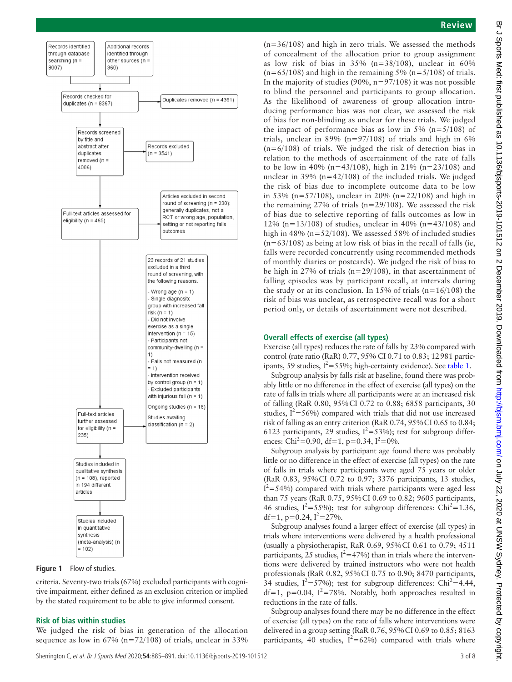

<span id="page-2-0"></span>criteria. Seventy-two trials (67%) excluded participants with cognitive impairment, either defined as an exclusion criterion or implied by the stated requirement to be able to give informed consent.

#### **Risk of bias within studies**

We judged the risk of bias in generation of the allocation sequence as low in  $67\%$  (n=72/108) of trials, unclear in 33%

 $(n=36/108)$  and high in zero trials. We assessed the methods of concealment of the allocation prior to group assignment as low risk of bias in  $35\%$  (n=38/108), unclear in 60%  $(n=65/108)$  and high in the remaining 5%  $(n=5/108)$  of trials. In the majority of studies (90%,  $n=97/108$ ) it was not possible to blind the personnel and participants to group allocation. As the likelihood of awareness of group allocation introducing performance bias was not clear, we assessed the risk of bias for non-blinding as unclear for these trials. We judged the impact of performance bias as low in 5% ( $n=5/108$ ) of trials, unclear in 89% ( $n=97/108$ ) of trials and high in 6%  $(n=6/108)$  of trials. We judged the risk of detection bias in relation to the methods of ascertainment of the rate of falls to be low in 40% (n=43/108), high in 21% (n=23/108) and unclear in 39% ( $n=42/108$ ) of the included trials. We judged the risk of bias due to incomplete outcome data to be low in 53% (n=57/108), unclear in 20% (n=22/108) and high in the remaining 27% of trials ( $n=29/108$ ). We assessed the risk of bias due to selective reporting of falls outcomes as low in 12% (n=13/108) of studies, unclear in 40% (n=43/108) and high in 48% ( $n=52/108$ ). We assessed 58% of included studies  $(n=63/108)$  as being at low risk of bias in the recall of falls (ie, falls were recorded concurrently using recommended methods of monthly diaries or postcards). We judged the risk of bias to be high in 27% of trials (n=29/108), in that ascertainment of falling episodes was by participant recall, at intervals during the study or at its conclusion. In 15% of trials ( $n=16/108$ ) the risk of bias was unclear, as retrospective recall was for a short period only, or details of ascertainment were not described.

#### **Overall effects of exercise (all types)**

Exercise (all types) reduces the rate of falls by 23% compared with control (rate ratio (RaR) 0.77, 95% CI 0.71 to 0.83; 12981 participants, 59 studies,  $I^2 = 55\%$ ; high-certainty evidence). See [table](#page-3-0) 1.

Subgroup analysis by falls risk at baseline, found there was probably little or no difference in the effect of exercise (all types) on the rate of falls in trials where all participants were at an increased risk of falling (RaR 0.80, 95%CI 0.72 to 0.88; 6858 participants, 30 studies,  $I^2 = 56\%$ ) compared with trials that did not use increased risk of falling as an entry criterion (RaR 0.74, 95%CI 0.65 to 0.84; 6123 participants, 29 studies,  $I^2 = 53\%$ ); test for subgroup differences: Chi<sup>2</sup>=0.90, df=1, p=0.34,  $I^2=0$ %.

Subgroup analysis by participant age found there was probably little or no difference in the effect of exercise (all types) on the rate of falls in trials where participants were aged 75 years or older (RaR 0.83, 95%CI 0.72 to 0.97; 3376 participants, 13 studies,  $I^2$ =54%) compared with trials where participants were aged less than 75 years (RaR 0.75, 95%CI 0.69 to 0.82; 9605 participants, 46 studies,  $I^2 = 55\%$ ; test for subgroup differences: Chi<sup>2</sup>=1.36, df=1, p=0.24,  $I^2$ =27%.

Subgroup analyses found a larger effect of exercise (all types) in trials where interventions were delivered by a health professional (usually a physiotherapist, RaR 0.69, 95%CI 0.61 to 0.79; 4511 participants, 25 studies,  $I^2 = 47\%$ ) than in trials where the interventions were delivered by trained instructors who were not health professionals (RaR 0.82, 95%CI 0.75 to 0.90; 8470 participants, 34 studies,  $I^2 = 57\%$ ; test for subgroup differences: Chi<sup>2</sup>=4.44, df=1, p=0.04,  $I^2$ =78%. Notably, both approaches resulted in reductions in the rate of falls.

Subgroup analyses found there may be no difference in the effect of exercise (all types) on the rate of falls where interventions were delivered in a group setting (RaR 0.76, 95%CI 0.69 to 0.85; 8163 participants, 40 studies,  $I^2 = 62\%$  compared with trials where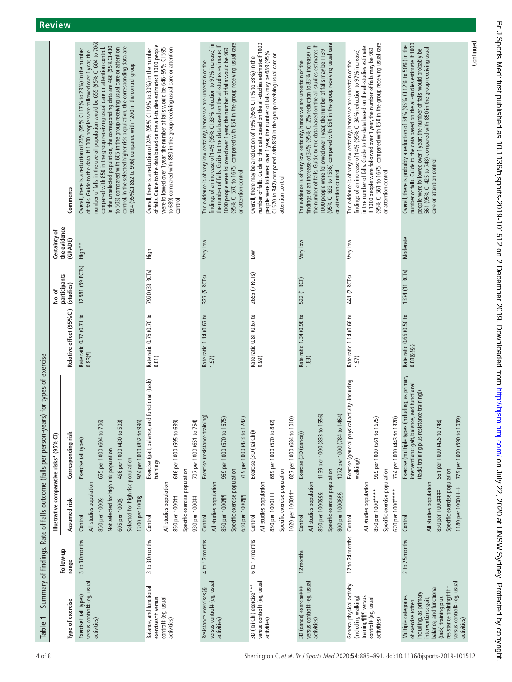<span id="page-3-0"></span>

| Table 1                                                                                                                                                                                                                 |                 |                                                                                                                                                                     | Summary of findings. Rate of falls outcome (falls per person-years) for types of exercise                                                                                                                |                                         |                           |                              |                                                                                                                                                                                                                                                                                                                                                                                                                                                                                                                                                                                                                          |
|-------------------------------------------------------------------------------------------------------------------------------------------------------------------------------------------------------------------------|-----------------|---------------------------------------------------------------------------------------------------------------------------------------------------------------------|----------------------------------------------------------------------------------------------------------------------------------------------------------------------------------------------------------|-----------------------------------------|---------------------------|------------------------------|--------------------------------------------------------------------------------------------------------------------------------------------------------------------------------------------------------------------------------------------------------------------------------------------------------------------------------------------------------------------------------------------------------------------------------------------------------------------------------------------------------------------------------------------------------------------------------------------------------------------------|
|                                                                                                                                                                                                                         | Follow-up       |                                                                                                                                                                     | Illustrative comparative risks* (95% CI)                                                                                                                                                                 |                                         | No. of                    | the evidence<br>Certainty of |                                                                                                                                                                                                                                                                                                                                                                                                                                                                                                                                                                                                                          |
| Type of exercise                                                                                                                                                                                                        | range           | Assumed risk                                                                                                                                                        | Corresponding risk                                                                                                                                                                                       | Relative effect (95% CI)                | participants<br>(studies) | (GRADE)                      | Comments                                                                                                                                                                                                                                                                                                                                                                                                                                                                                                                                                                                                                 |
| versus control # (eg, usual<br>Exerciset (all types)<br>activities)                                                                                                                                                     | 3 to 30 months  | Not selected for high risk population<br>Selected for high risk population<br>All studies population<br>1200 per 1000§<br>605 per 1000§<br>850 per 1000§<br>Control | 655 per 1000 (604 to 706)<br>466 per 1000 (430 to 503)<br>924 per 1000 (852 to 996)<br>Exercise (all types)                                                                                              | Rate ratio 0.77 (0.71 to<br>$0.83$ $\P$ | 12981 (59 RCTs)           | High**                       | number of falls in the overall population would be 655 (95% CI 604 to 706)<br>In the unselected population, the corresponding data are 466 (95%CI 430<br>control. In the selected higher-risk population, the corresponding data are<br>compared with 850 in the group receiving usual care or attention control.<br>to 503) compared with 605 in the group receiving usual care or attention<br>Overall, there is a reduction of 23% (95% CI 17% to 29%) in the number<br>of falls. Guide to the data: If 1000 people were followed over 1 year, the<br>924 (95% CI 852 to 996) compared with 1200 in the control group |
| Balance, and functional<br>exercises t tversus<br>control# (eg, usual<br>activities)                                                                                                                                    | 3 to 30 months  | Specific exercise population<br>All studies population<br>850 per 1000##<br>930 per 1000#<br>Control                                                                | functional (task)<br>Exercise (gait, balance, and<br>646 per 1000 (595 to 689)<br>707 per 1000 (651 to 754)<br>training)                                                                                 | Rate ratio 0.76 (0.70 to<br>0.81)       | 7920 (39 RCTs)            | High                         | of falls. Guide to the data based on the all-studies estimate: If 1000 people<br>were followed over 1 year, the number of falls would be 646 (95% CI 595<br>to 689) compared with 850 in the group receiving usual care or attention<br>Overall, there is a reduction of 24% (95% CI 19% to 30%) in the number<br>control                                                                                                                                                                                                                                                                                                |
| versus control # (eg, usual<br>Resistance exercises§§<br>activities)                                                                                                                                                    | 4 to 12 months  | Specific exercise population<br>All studies population<br>850 per 100011<br>630 per 100011<br>Control                                                               | Exercise (resistance training<br>969 per 1000 (570 to 1675)<br>719 per 1000 (423 to 1242)                                                                                                                | Rate ratio 1.14 (0.67 to<br>1.97        | 327 (5 RCTs)              | Very low                     | (95% CI 570 to 1675) compared with 850 in the group receiving usual care<br>findings of an increase of 14% (95% CI 33% reduction to 97% increase) in<br>the number of falls. Guide to the data based on the all-studies estimate: If<br>1000 people were followed over 1 year, the number of falls would be 969<br>The evidence is of very low certainty, hence we are uncertain of the<br>or attention control                                                                                                                                                                                                          |
| versus control # (eg, usual<br>3D (Tai Chi) exercise***<br>activities)                                                                                                                                                  | 6 to 17 months  | Specific exercise population<br>All studies population<br>1020 per 1000 + +<br>850 per 1000+11<br>Control                                                           | 827 per 1000 (684 to 1010)<br>689 per 1000 (570 to 842)<br>Exercise (3D (Tai Chi))                                                                                                                       | Rate ratio 0.81 (0.67 to<br>0.99)       | 2655 (7 RCTs)             | Low                          | number of falls. Guide to the data based on the all-studies estimate: If 1000<br>people were followed over 1 year, the number of falls may be 689 (95%<br>CI 570 to 842) compared with 850 in the group receiving usual care or<br>Overall, there may be a reduction of 19% (95% CI 1% to 33%) in the<br>attention control                                                                                                                                                                                                                                                                                               |
| versus control‡ (eg, usual<br>3D (dance) exercise###<br>activities)                                                                                                                                                     | 12 months       | Specific exercise population<br>All studies population<br>850 per 1000§§§<br>800 per 1000§§§<br>Control                                                             | 1139 per 1000 (833 to 1556)<br>1072 per 1000 (784 to 1464<br>Exercise (3D (dance))                                                                                                                       | Rate ratio 1.34 (0.98 to<br>1,83        | 522 (1 RCT)               | Very low                     | 1000 people were followed over 1 year, the number of falls may be 1139<br>(95% Cl 833 to 1556) compared with 850 in the group receiving usual care<br>the number of falls. Guide to the data based on the all-studies estimate: If<br>The evidence is of very low certainty, hence we are uncertain of the<br>findings of an increase of 34% (95% Cl 2% reduction to 83% increase) in<br>or attention control                                                                                                                                                                                                            |
| General physical activity<br>training¶¶¶ versus<br>(including walking)<br>control‡ (eg, usual<br>activities)                                                                                                            | 12 to 24 months | Specific exercise population<br>All studies population<br>850 per 1000****<br>670 per 1000****<br>Control                                                           | Exercise (general physical activity (including<br>969 per 1000 (561 to 1675)<br>764 per 1000 (443 to 1320)<br>walking)                                                                                   | Rate ratio 1.14 (0.66 to<br>1.97        | 441 (2 RCTs)              | Very low                     | (95% CI 561 to 1675) compared with 850 in the group receiving usual care<br>in the number of falls. Guide to the data based on the all-studies estimate:<br>If 1000 people were followed over 1 year, the number of falls may be 969<br>findings of an increase of 14% (95% CI 34% reduction to 97% increase)<br>The evidence is of very low certainty, hence we are uncertain of the<br>or attention control                                                                                                                                                                                                            |
| versus control‡ (eg, usual<br>resistance training + + +<br>balance, and functional<br>including, as primary<br>Multiple categories<br>(task) training plus<br>interventions: gait,<br>of exercise (often<br>activities) | 2 to 25 months  | Specific exercise population<br>All studies population<br>1180 per 1000####<br>850 per 1000 ###<br>Control                                                          | Exercise (multiple types (including, as primary<br>interventions: gait, balance, and functional<br>(task) training plus resistance training))<br>779 per 1000 (590 to 1039)<br>561 per 1000 (425 to 748) | Rate ratio 0.66 (0.50 to<br>0.88)§§§§   | 1374 (11 RCTs)            | Moderate                     | number of falls. Guide to the data based on the all-studies estimate If 1000<br>Overall, there is probably a reduction of 34% (95% CI 12% to 50%) in the<br>561 (95% CI 425 to 748) compared with 850 in the group receiving usual<br>people were followed over 1 year: the number of falls would probably be<br>care or attention control                                                                                                                                                                                                                                                                               |
|                                                                                                                                                                                                                         |                 |                                                                                                                                                                     |                                                                                                                                                                                                          |                                         |                           |                              | Continued                                                                                                                                                                                                                                                                                                                                                                                                                                                                                                                                                                                                                |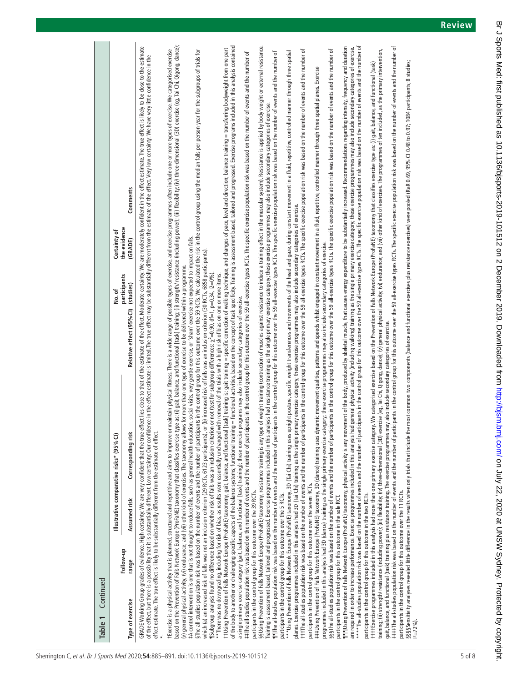| Continued<br><b>Table</b>                                                                                                                                                                                                                                                                                |              |                                                                                                                                                                                                                                                                                                                                                                                |                                                                                      |                                                     |                                                                                                                                                                                                                                                                                                                                                                                                                                                                                                                                                                                                                                                                                                                                                                                                                                                                                                                                      |
|----------------------------------------------------------------------------------------------------------------------------------------------------------------------------------------------------------------------------------------------------------------------------------------------------------|--------------|--------------------------------------------------------------------------------------------------------------------------------------------------------------------------------------------------------------------------------------------------------------------------------------------------------------------------------------------------------------------------------|--------------------------------------------------------------------------------------|-----------------------------------------------------|--------------------------------------------------------------------------------------------------------------------------------------------------------------------------------------------------------------------------------------------------------------------------------------------------------------------------------------------------------------------------------------------------------------------------------------------------------------------------------------------------------------------------------------------------------------------------------------------------------------------------------------------------------------------------------------------------------------------------------------------------------------------------------------------------------------------------------------------------------------------------------------------------------------------------------------|
| Follow-up<br>range<br>Type of exercise                                                                                                                                                                                                                                                                   | Assumed risk | Corresponding risk<br>Illustrative comparative risks* (95% CI)                                                                                                                                                                                                                                                                                                                 | participants<br>(studies)<br>No. of<br>Relative effect (95% CI)                      | Comments<br>the evidence<br>Certainty of<br>(GRADE) |                                                                                                                                                                                                                                                                                                                                                                                                                                                                                                                                                                                                                                                                                                                                                                                                                                                                                                                                      |
| GRADE Working Group grades of evidence. High certainty: We are very confident that the true eff<br>effect estimate. The true effect is likely to be substantially different from the estimate of effect.                                                                                                 |              |                                                                                                                                                                                                                                                                                                                                                                                |                                                                                      |                                                     | iect lies close to that of the estimate of the effect. Moderate certainty: We are moderately confident in the effect estimate. The true effect is likely to be close to the estimate<br>of the effect, but there is a possibility that it is substantially different. Low certainty: Our confidence in the effect estimate is limited.The true effect may be substantially different from the estimate of the effect.                                                                                                                                                                                                                                                                                                                                                                                                                                                                                                                |
| which (a) an increased risk of falls was not an inclusion criterion (29 RCTs, 6123 participants), or<br>tExercise is a physical activity that is planned, structured and repetitive and aims to improve or                                                                                               |              | #A control intervention is one that is not thought to reduce falls, such as general health education, social visits, very gentle exercise, or 'sham' exercise not expected to impact on falls.<br>(v) general physical activity; (vi) endurance; and (vii) other kind of exercises. The taxonomy allows for more than one type of exercise to be delivered within a programme. | (b) increased risk of falls was an inclusion criterion (30 RCTs, 6858 participants). |                                                     | based on the Prevention of Falls Network Europe (ProFally Discussionery that classifies sxercise type as: (i) gait, balance, and functional [task] traning; (ii) strength/ resistance (including power); (iii) flexibility; (i<br>maintain physical fitness. There is a wide range of possible types of exercise, and exercise programmes often include one or more types of exercise. We categorised exercise<br>SThe all-studies population risk was based on the number of events and the number of participants in the control group for this outcome over the 59 RCTs. We calculated the risk in the control group using the median falls p                                                                                                                                                                                                                                                                                     |
| Tsubgroup analysis found no difference based on whether risk of falls was an inclusion criterion<br>of the body to another or challenging specific aspects of the balance systems; functional training<br>ttUsing Prevention of Falls Network Europe (ProFaNE) taxonomy, gait, balance, and functional [ |              | **There was no downgrading, including for risk of bias, as results were essentially unchanged with removal of the trials with a high risk of bias on one or more items.<br>a single primary exercise category (gait, balance, and functional [task] training); these exercise programs may also include secondary categories of exercise.                                      | or not (test for subgroup differences: $\chi^2$ =0.90, df=1, p=0.34, l2=0%).         |                                                     | = functional activities, based on the concept of task specificity. Training is assessment-based, tailored and progressed. Exercise programs included in this analysis contained<br>rask] training is: gait training = specific correction of walking technique, and changes of pace, level and direction; balance training = transferring bodyweight from one part<br>##The all-studies population risk was based on the number of events and the number of participants in the control group for this outcome over the 59 all-exercise types RCTs. The specific exercise population risk was based                                                                                                                                                                                                                                                                                                                                  |
| participants in the control group for this outcome over the 39 RCTs.                                                                                                                                                                                                                                     |              | Training is assessment-based, tailored and progressed. Exercise programmes included in this analysis had resistance training as the single primary exercise category; these exercise programmes may also include secondary cat                                                                                                                                                 |                                                                                      |                                                     | S§Using Prevention of Falls Network Europe (ProFaNE) taxonomy, resistance training is any type of weight training (contraction of muscles against resistance a training effect in the muscular system). Resistance is applied<br>¶¶The all-studies population risk was based on the number of events and the number of participants in the control group for this outcome over the 59 all-exercise types RCTs. The specific exercise population risk was based                                                                                                                                                                                                                                                                                                                                                                                                                                                                       |
| participants in the control group for this outcome over the 5 RCTs.                                                                                                                                                                                                                                      |              | planes. Exercise programmes included in this analysis had 3D (Tai Chi) training as the single primary exercise category; these exercise programmes may also include secondary categories of exercise.                                                                                                                                                                          |                                                                                      |                                                     | tttThe all-studies population risk was based on the number of events and the number of participants in the control group for this outcome over the 59 all-exercies types RCTs. The specific exercise population risk was based<br>***Using Prevention of Falls Network Europe (ProFaNE) taxonomy, 3D (Tai Chi) training uses upright posetine, specific weight transferences and movements of the head and gaze during constant movement in a fluid, repetitive,                                                                                                                                                                                                                                                                                                                                                                                                                                                                     |
| participants in the control group for this outcome over the seven RCTs.<br>participants in the control group for this outcome in the sole RCT.                                                                                                                                                           |              | programmes included in this analysis had 3D (dance) training as the single primary exercise gory; these exercise programmes may also include secondary categories of exercise.                                                                                                                                                                                                 |                                                                                      |                                                     | §§§The all-studies population risk was based on the number of events and the number of participants in the control group for this outcome over the 59 all-exercise types RCTs. The specific exercise population risk was based<br>###Using Prevention of Falls Network Europe (ProFaNE) taxonomy, 3D (dance) training uses dynamic movement and speeds whilst engaged in constant movement in a fluid, repetitive, controlled manner through three spatial plane                                                                                                                                                                                                                                                                                                                                                                                                                                                                     |
| are required in order to increase performance. Exercise programmes included in this analysis had<br>participants in the control group for this outcome in the two RCTs.                                                                                                                                  |              |                                                                                                                                                                                                                                                                                                                                                                                |                                                                                      |                                                     | ****The all-studies population risk was based on the number of wents and the number of participants in the control group for this outcome over the 59 all-exercise types RCTs. The specific exercise population risk was based<br>1111Using Prevention of Falls Network Europe (ProFaNE) taxonomy, physical activity is any movement of the body, produced by skeletal muscle, that causes energy expenditure to be substantially increased. Recommendations reg<br>general physical activity (including walking) training as the single primary exercise category; these exercise programmes may also include secondary categories of exercise.                                                                                                                                                                                                                                                                                     |
| participants in the control group for this outcome over the 11 RCTs.                                                                                                                                                                                                                                     |              | gait, balance, and functional (task) training plus resistance training. The exercise programmes may also include secondary categories of exercise.                                                                                                                                                                                                                             |                                                                                      |                                                     | ###The all-studies population risk was based on the number of events and the number of participants in the control group for this outcome over the 59 all-exercise types RCTs. The specific exercise population risk was based<br>training. (ii) strength/ resistance (including power); (iii) flexibility; (iv) thee-dimensional (3D) exercise (eg, Tai Chi, Qigong, dance); (v) general physical activity; (vi) endurance; and (vii) other kind of exercises.<br>S§S\$Sensitivity analyses revealed little difference in the results when only trials that include the most common two components (balance and functional exercises plus resistance exercises) were pooled (RaR 0.69, 95% CI 0.4<br>ttttExercise programmes included in this analysis had more than one primary exercise category. We category. We category Me categorised exercise based on the Prevention of Falls Network Europe (ProFaNE) taxonomy that classi |
| $1^{2} = 72\%$                                                                                                                                                                                                                                                                                           |              |                                                                                                                                                                                                                                                                                                                                                                                |                                                                                      |                                                     |                                                                                                                                                                                                                                                                                                                                                                                                                                                                                                                                                                                                                                                                                                                                                                                                                                                                                                                                      |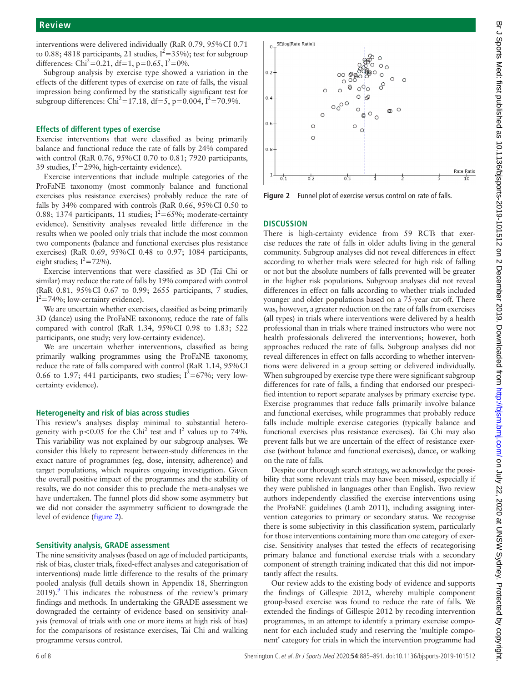interventions were delivered individually (RaR 0.79, 95%CI 0.71 to 0.88; 4818 participants, 21 studies,  $I^2 = 35\%$ ); test for subgroup differences: Chi<sup>2</sup>=0.21, df=1, p=0.65,  $I^2$ =0%.

Subgroup analysis by exercise type showed a variation in the effects of the different types of exercise on rate of falls, the visual impression being confirmed by the statistically significant test for subgroup differences: Chi<sup>2</sup>=17.18, df=5, p=0.004,  $I^2$ =70.9%.

#### **Effects of different types of exercise**

Exercise interventions that were classified as being primarily balance and functional reduce the rate of falls by 24% compared with control (RaR 0.76, 95%CI 0.70 to 0.81; 7920 participants, 39 studies,  $I^2$ =29%, high-certainty evidence).

Exercise interventions that include multiple categories of the ProFaNE taxonomy (most commonly balance and functional exercises plus resistance exercises) probably reduce the rate of falls by 34% compared with controls (RaR 0.66, 95%CI 0.50 to 0.88; 1374 participants, 11 studies;  $I^2 = 65\%$ ; moderate-certainty evidence). Sensitivity analyses revealed little difference in the results when we pooled only trials that include the most common two components (balance and functional exercises plus resistance exercises) (RaR 0.69, 95%CI 0.48 to 0.97; 1084 participants, eight studies;  $I^2 = 72\%$ ).

Exercise interventions that were classified as 3D (Tai Chi or similar) may reduce the rate of falls by 19% compared with control (RaR 0.81, 95%CI 0.67 to 0.99; 2655 participants, 7 studies,  $I^2$ =74%; low-certainty evidence).

We are uncertain whether exercises, classified as being primarily 3D (dance) using the ProFaNE taxonomy, reduce the rate of falls compared with control (RaR 1.34, 95%CI 0.98 to 1.83; 522 participants, one study; very low-certainty evidence).

We are uncertain whether interventions, classified as being primarily walking programmes using the ProFaNE taxonomy, reduce the rate of falls compared with control (RaR 1.14, 95%CI 0.66 to 1.97; 441 participants, two studies;  $I^2=67\%$ ; very lowcertainty evidence).

#### **Heterogeneity and risk of bias across studies**

This review's analyses display minimal to substantial heterogeneity with  $p < 0.05$  for the Chi<sup>2</sup> test and  $I^2$  values up to 74%. This variability was not explained by our subgroup analyses. We consider this likely to represent between-study differences in the exact nature of programmes (eg, dose, intensity, adherence) and target populations, which requires ongoing investigation. Given the overall positive impact of the programmes and the stability of results, we do not consider this to preclude the meta-analyses we have undertaken. The funnel plots did show some asymmetry but we did not consider the asymmetry sufficient to downgrade the level of evidence [\(figure](#page-5-0) 2).

#### **Sensitivity analysis, GRADE assessment**

The nine sensitivity analyses (based on age of included participants, risk of bias, cluster trials, fixed-effect analyses and categorisation of interventions) made little difference to the results of the primary pooled analysis (full details shown in Appendix 18, Sherrington  $2019$  $2019$ . This indicates the robustness of the review's primary findings and methods. In undertaking the GRADE assessment we downgraded the certainty of evidence based on sensitivity analysis (removal of trials with one or more items at high risk of bias) for the comparisons of resistance exercises, Tai Chi and walking programme versus control.



<span id="page-5-0"></span>**Figure 2** Funnel plot of exercise versus control on rate of falls.

#### **Discussion**

There is high-certainty evidence from 59 RCTs that exercise reduces the rate of falls in older adults living in the general community. Subgroup analyses did not reveal differences in effect according to whether trials were selected for high risk of falling or not but the absolute numbers of falls prevented will be greater in the higher risk populations. Subgroup analyses did not reveal differences in effect on falls according to whether trials included younger and older populations based on a 75-year cut-off. There was, however, a greater reduction on the rate of falls from exercises (all types) in trials where interventions were delivered by a health professional than in trials where trained instructors who were not health professionals delivered the interventions; however, both approaches reduced the rate of falls. Subgroup analyses did not reveal differences in effect on falls according to whether interventions were delivered in a group setting or delivered individually. When subgrouped by exercise type there were significant subgroup differences for rate of falls, a finding that endorsed our prespecified intention to report separate analyses by primary exercise type. Exercise programmes that reduce falls primarily involve balance and functional exercises, while programmes that probably reduce falls include multiple exercise categories (typically balance and functional exercises plus resistance exercises). Tai Chi may also prevent falls but we are uncertain of the effect of resistance exercise (without balance and functional exercises), dance, or walking on the rate of falls.

Despite our thorough search strategy, we acknowledge the possibility that some relevant trials may have been missed, especially if they were published in languages other than English. Two review authors independently classified the exercise interventions using the ProFaNE guidelines (Lamb 2011), including assigning intervention categories to primary or secondary status. We recognise there is some subjectivity in this classification system, particularly for those interventions containing more than one category of exercise. Sensitivity analyses that tested the effects of recategorising primary balance and functional exercise trials with a secondary component of strength training indicated that this did not importantly affect the results.

Our review adds to the existing body of evidence and supports the findings of Gillespie 2012, whereby multiple component group-based exercise was found to reduce the rate of falls. We extended the findings of Gillespie 2012 by recoding intervention programmes, in an attempt to identify a primary exercise component for each included study and reserving the 'multiple component' category for trials in which the intervention programme had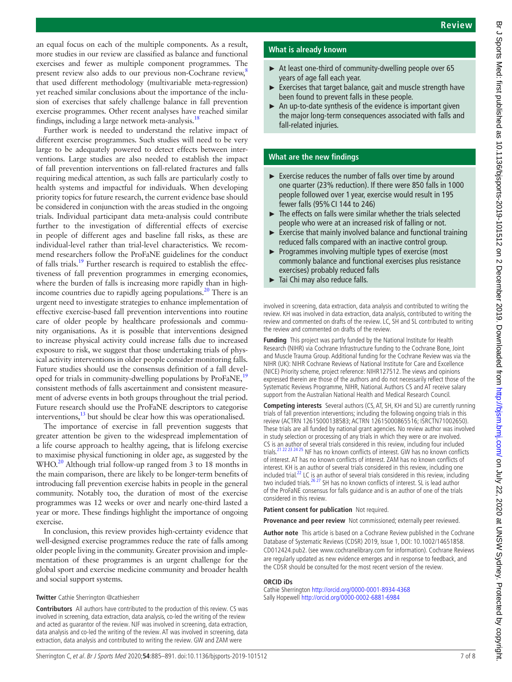an equal focus on each of the multiple components. As a result, more studies in our review are classified as balance and functional exercises and fewer as multiple component programmes. The present review also adds to our previous non-Cochrane review,<sup>[8](#page-7-6)</sup> that used different methodology (multivariable meta-regression) yet reached similar conclusions about the importance of the inclusion of exercises that safely challenge balance in fall prevention exercise programmes. Other recent analyses have reached similar findings, including a large network meta-analysis[.18](#page-7-15)

Further work is needed to understand the relative impact of different exercise programmes. Such studies will need to be very large to be adequately powered to detect effects between interventions. Large studies are also needed to establish the impact of fall prevention interventions on fall-related fractures and falls requiring medical attention, as such falls are particularly costly to health systems and impactful for individuals. When developing priority topics for future research, the current evidence base should be considered in conjunction with the areas studied in the ongoing trials. Individual participant data meta-analysis could contribute further to the investigation of differential effects of exercise in people of different ages and baseline fall risks, as these are individual-level rather than trial-level characteristics. We recommend researchers follow the ProFaNE guidelines for the conduct of falls trials[.19](#page-7-16) Further research is required to establish the effectiveness of fall prevention programmes in emerging economies, where the burden of falls is increasing more rapidly than in highincome countries due to rapidly ageing populations.<sup>20</sup> There is an urgent need to investigate strategies to enhance implementation of effective exercise-based fall prevention interventions into routine care of older people by healthcare professionals and community organisations. As it is possible that interventions designed to increase physical activity could increase falls due to increased exposure to risk, we suggest that those undertaking trials of physical activity interventions in older people consider monitoring falls. Future studies should use the consensus definition of a fall developed for trials in community-dwelling populations by ProFaNE,<sup>19</sup> consistent methods of falls ascertainment and consistent measurement of adverse events in both groups throughout the trial period. Future research should use the ProFaNE descriptors to categorise interventions,<sup>13</sup> but should be clear how this was operationalised.

The importance of exercise in fall prevention suggests that greater attention be given to the widespread implementation of a life course approach to healthy ageing, that is lifelong exercise to maximise physical functioning in older age, as suggested by the WHO.<sup>20</sup> Although trial follow-up ranged from 3 to 18 months in the main comparison, there are likely to be longer-term benefits of introducing fall prevention exercise habits in people in the general community. Notably too, the duration of most of the exercise programmes was 12 weeks or over and nearly one-third lasted a year or more. These findings highlight the importance of ongoing exercise.

In conclusion, this review provides high-certainty evidence that well-designed exercise programmes reduce the rate of falls among older people living in the community. Greater provision and implementation of these programmes is an urgent challenge for the global sport and exercise medicine community and broader health and social support systems.

#### **Twitter** Cathie Sherrington [@cathiesherr](https://twitter.com/cathiesherr)

**Contributors** All authors have contributed to the production of this review. CS was involved in screening, data extraction, data analysis, co-led the writing of the review and acted as guarantor of the review. NJF was involved in screening, data extraction, data analysis and co-led the writing of the review. AT was involved in screening, data extraction, data analysis and contributed to writing the review. GW and ZAM were

#### **What is already known**

- ► At least one-third of community-dwelling people over 65 years of age fall each year.
- ► Exercises that target balance, gait and muscle strength have been found to prevent falls in these people.
- $\triangleright$  An up-to-date synthesis of the evidence is important given the major long-term consequences associated with falls and fall-related injuries.

#### **What are the new findings**

- ► Exercise reduces the number of falls over time by around one quarter (23% reduction). If there were 850 falls in 1000 people followed over 1 year, exercise would result in 195 fewer falls (95%CI 144 to 246)
- ► The effects on falls were similar whether the trials selected people who were at an increased risk of falling or not.
- ► Exercise that mainly involved balance and functional training reduced falls compared with an inactive control group.
- ► Programmes involving multiple types of exercise (most commonly balance and functional exercises plus resistance exercises) probably reduced falls
- Tai Chi may also reduce falls.

involved in screening, data extraction, data analysis and contributed to writing the review. KH was involved in data extraction, data analysis, contributed to writing the review and commented on drafts of the review. LC, SH and SL contributed to writing the review and commented on drafts of the review.

**Funding** This project was partly funded by the National Institute for Health Research (NIHR) via Cochrane Infrastructure funding to the Cochrane Bone, Joint and Muscle Trauma Group. Additional funding for the Cochrane Review was via the NIHR (UK): NIHR Cochrane Reviews of National Institute for Care and Excellence (NICE) Priority scheme, project reference: NIHR127512. The views and opinions expressed therein are those of the authors and do not necessarily reflect those of the Systematic Reviews Programme, NIHR, National. Authors CS and AT receive salary support from the Australian National Health and Medical Research Council.

**Competing interests** Several authors (CS, AT, SH, KH and SL) are currently running trials of fall prevention interventions; including the following ongoing trials in this review (ACTRN 12615000138583; ACTRN 12615000865516; ISRCTN71002650). These trials are all funded by national grant agencies. No review author was involved in study selection or processing of any trials in which they were or are involved. CS is an author of several trials considered in this review, including four included<br>trials.<sup>21 22 23 24 25</sup> NF has no known conflicts of interest. GW has no known conflicts of interest. AT has no known conflicts of interest. ZAM has no known conflicts of interest. KH is an author of several trials considered in this review, including one included trial.<sup>22</sup> LC is an author of several trials considered in this review, including two included trials.<sup>26,27</sup> SH has no known conflicts of interest. SL is lead author of the ProFaNE consensus for falls guidance and is an author of one of the trials considered in this review.

**Patient consent for publication** Not required.

**Provenance and peer review** Not commissioned; externally peer reviewed.

**Author note** This article is based on a Cochrane Review published in the Cochrane Database of Systematic Reviews (CDSR) 2019, Issue 1, DOI: 10.1002/14651858. CD012424.pub2. (see www.cochranelibrary.com for information). Cochrane Reviews are regularly updated as new evidence emerges and in response to feedback, and the CDSR should be consulted for the most recent version of the review.

#### **ORCID iDs**

Cathie Sherrington <http://orcid.org/0000-0001-8934-4368> Sally Hopewell <http://orcid.org/0000-0002-6881-6984>